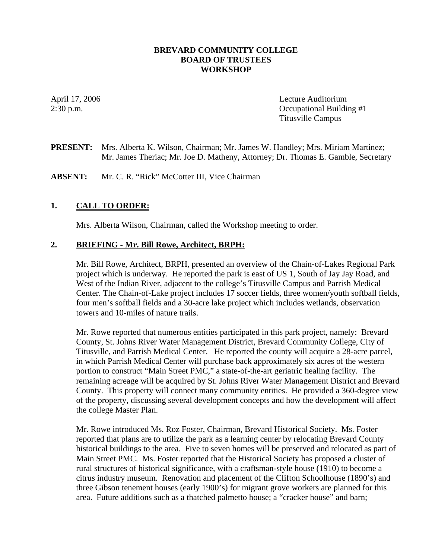## **BREVARD COMMUNITY COLLEGE BOARD OF TRUSTEES WORKSHOP**

April 17, 2006 Lecture Auditorium 2:30 p.m. Occupational Building #1 Titusville Campus

**PRESENT:** Mrs. Alberta K. Wilson, Chairman; Mr. James W. Handley; Mrs. Miriam Martinez; Mr. James Theriac; Mr. Joe D. Matheny, Attorney; Dr. Thomas E. Gamble, Secretary

**ABSENT:** Mr. C. R. "Rick" McCotter III, Vice Chairman

## **1. CALL TO ORDER:**

Mrs. Alberta Wilson, Chairman, called the Workshop meeting to order.

### **2. BRIEFING - Mr. Bill Rowe, Architect, BRPH:**

Mr. Bill Rowe, Architect, BRPH, presented an overview of the Chain-of-Lakes Regional Park project which is underway. He reported the park is east of US 1, South of Jay Jay Road, and West of the Indian River, adjacent to the college's Titusville Campus and Parrish Medical Center. The Chain-of-Lake project includes 17 soccer fields, three women/youth softball fields, four men's softball fields and a 30-acre lake project which includes wetlands, observation towers and 10-miles of nature trails.

Mr. Rowe reported that numerous entities participated in this park project, namely: Brevard County, St. Johns River Water Management District, Brevard Community College, City of Titusville, and Parrish Medical Center. He reported the county will acquire a 28-acre parcel, in which Parrish Medical Center will purchase back approximately six acres of the western portion to construct "Main Street PMC," a state-of-the-art geriatric healing facility. The remaining acreage will be acquired by St. Johns River Water Management District and Brevard County. This property will connect many community entities. He provided a 360-degree view of the property, discussing several development concepts and how the development will affect the college Master Plan.

Mr. Rowe introduced Ms. Roz Foster, Chairman, Brevard Historical Society. Ms. Foster reported that plans are to utilize the park as a learning center by relocating Brevard County historical buildings to the area. Five to seven homes will be preserved and relocated as part of Main Street PMC. Ms. Foster reported that the Historical Society has proposed a cluster of rural structures of historical significance, with a craftsman-style house (1910) to become a citrus industry museum. Renovation and placement of the Clifton Schoolhouse (1890's) and three Gibson tenement houses (early 1900's) for migrant grove workers are planned for this area. Future additions such as a thatched palmetto house; a "cracker house" and barn;